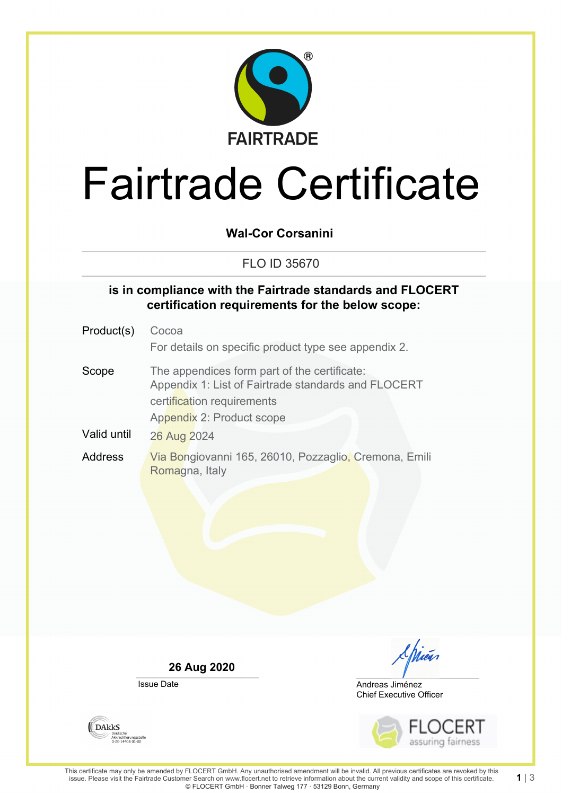

# Fairtrade Certificate

**Wal-Cor Corsanini**

### FLO ID 35670

#### **is in compliance with the Fairtrade standards and FLOCERT certification requirements for the below scope:**

| Product(s)  | Cocoa                                                                                                                                                          |
|-------------|----------------------------------------------------------------------------------------------------------------------------------------------------------------|
|             | For details on specific product type see appendix 2.                                                                                                           |
| Scope       | The appendices form part of the certificate:<br>Appendix 1: List of Fairtrade standards and FLOCERT<br>certification requirements<br>Appendix 2: Product scope |
| Valid until | 26 Aug 2024                                                                                                                                                    |
| Address     | Via Bongiovanni 165, 26010, Pozzaglio, Cremona, Emili<br>Romagna, Italy                                                                                        |

**26 Aug 2020**

Issue Date

<u>I hicus</u>

Chief Executive Officer Andreas Jiménez



**DAKKS** Deutsche<br>Akkreditierungsstelle<br>D-ZE-14408-01-00

**1** | 3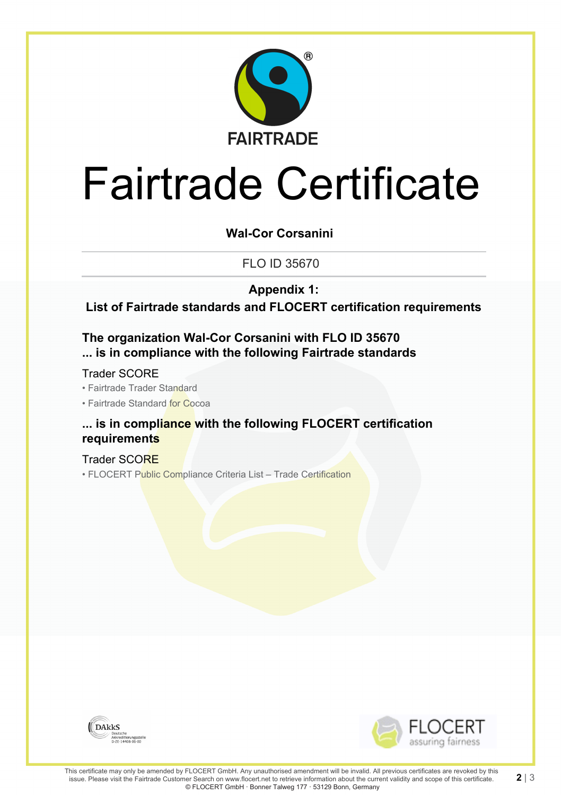

# Fairtrade Certificate

**Wal-Cor Corsanini**

FLO ID 35670

**Appendix 1:**

**List of Fairtrade standards and FLOCERT certification requirements**

**The organization Wal-Cor Corsanini with FLO ID 35670 ... is in compliance with the following Fairtrade standards**

Trader SCORE

• Fairtrade Trader Standard

• Fairtrade Standard for Cocoa

#### **... is in compliance with the following FLOCERT certification requirements**

Trader SCORE • FLOCERT Public Compliance Criteria List - Trade Certification





**2** | 3